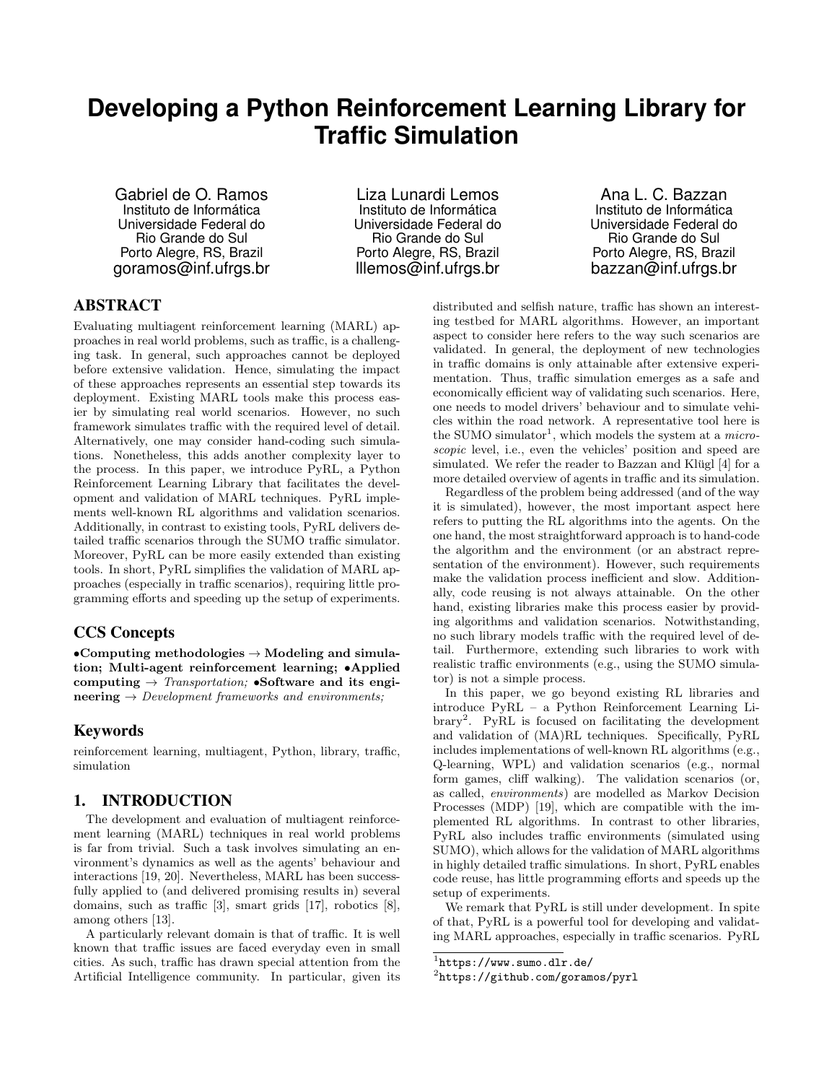# **Developing a Python Reinforcement Learning Library for Traffic Simulation**

Gabriel de O. Ramos Instituto de Informática Universidade Federal do Rio Grande do Sul Porto Alegre, RS, Brazil goramos@inf.ufrgs.br

Liza Lunardi Lemos Instituto de Informática Universidade Federal do Rio Grande do Sul Porto Alegre, RS, Brazil lllemos@inf.ufrgs.br

Ana L. C. Bazzan Instituto de Informática Universidade Federal do Rio Grande do Sul Porto Alegre, RS, Brazil bazzan@inf.ufrgs.br

# ABSTRACT

Evaluating multiagent reinforcement learning (MARL) approaches in real world problems, such as traffic, is a challenging task. In general, such approaches cannot be deployed before extensive validation. Hence, simulating the impact of these approaches represents an essential step towards its deployment. Existing MARL tools make this process easier by simulating real world scenarios. However, no such framework simulates traffic with the required level of detail. Alternatively, one may consider hand-coding such simulations. Nonetheless, this adds another complexity layer to the process. In this paper, we introduce PyRL, a Python Reinforcement Learning Library that facilitates the development and validation of MARL techniques. PyRL implements well-known RL algorithms and validation scenarios. Additionally, in contrast to existing tools, PyRL delivers detailed traffic scenarios through the SUMO traffic simulator. Moreover, PyRL can be more easily extended than existing tools. In short, PyRL simplifies the validation of MARL approaches (especially in traffic scenarios), requiring little programming efforts and speeding up the setup of experiments.

## CCS Concepts

•Computing methodologies  $\rightarrow$  Modeling and simulation; Multi-agent reinforcement learning; •Applied computing  $\rightarrow$  Transportation; •Software and its engineering  $\rightarrow$  Development frameworks and environments;

#### Keywords

reinforcement learning, multiagent, Python, library, traffic, simulation

#### 1. INTRODUCTION

The development and evaluation of multiagent reinforcement learning (MARL) techniques in real world problems is far from trivial. Such a task involves simulating an environment's dynamics as well as the agents' behaviour and interactions [19, 20]. Nevertheless, MARL has been successfully applied to (and delivered promising results in) several domains, such as traffic [3], smart grids [17], robotics [8], among others [13].

A particularly relevant domain is that of traffic. It is well known that traffic issues are faced everyday even in small cities. As such, traffic has drawn special attention from the Artificial Intelligence community. In particular, given its distributed and selfish nature, traffic has shown an interesting testbed for MARL algorithms. However, an important aspect to consider here refers to the way such scenarios are validated. In general, the deployment of new technologies in traffic domains is only attainable after extensive experimentation. Thus, traffic simulation emerges as a safe and economically efficient way of validating such scenarios. Here, one needs to model drivers' behaviour and to simulate vehicles within the road network. A representative tool here is the SUMO simulator<sup>1</sup>, which models the system at a *micro*scopic level, i.e., even the vehicles' position and speed are simulated. We refer the reader to Bazzan and Klügl  $[4]$  for a more detailed overview of agents in traffic and its simulation.

Regardless of the problem being addressed (and of the way it is simulated), however, the most important aspect here refers to putting the RL algorithms into the agents. On the one hand, the most straightforward approach is to hand-code the algorithm and the environment (or an abstract representation of the environment). However, such requirements make the validation process inefficient and slow. Additionally, code reusing is not always attainable. On the other hand, existing libraries make this process easier by providing algorithms and validation scenarios. Notwithstanding, no such library models traffic with the required level of detail. Furthermore, extending such libraries to work with realistic traffic environments (e.g., using the SUMO simulator) is not a simple process.

In this paper, we go beyond existing RL libraries and introduce PyRL – a Python Reinforcement Learning Library<sup>2</sup> . PyRL is focused on facilitating the development and validation of (MA)RL techniques. Specifically, PyRL includes implementations of well-known RL algorithms (e.g., Q-learning, WPL) and validation scenarios (e.g., normal form games, cliff walking). The validation scenarios (or, as called, environments) are modelled as Markov Decision Processes (MDP) [19], which are compatible with the implemented RL algorithms. In contrast to other libraries, PyRL also includes traffic environments (simulated using SUMO), which allows for the validation of MARL algorithms in highly detailed traffic simulations. In short, PyRL enables code reuse, has little programming efforts and speeds up the setup of experiments.

We remark that PyRL is still under development. In spite of that, PyRL is a powerful tool for developing and validating MARL approaches, especially in traffic scenarios. PyRL

<sup>1</sup> https://www.sumo.dlr.de/

 $^{2}$ https://github.com/goramos/pyrl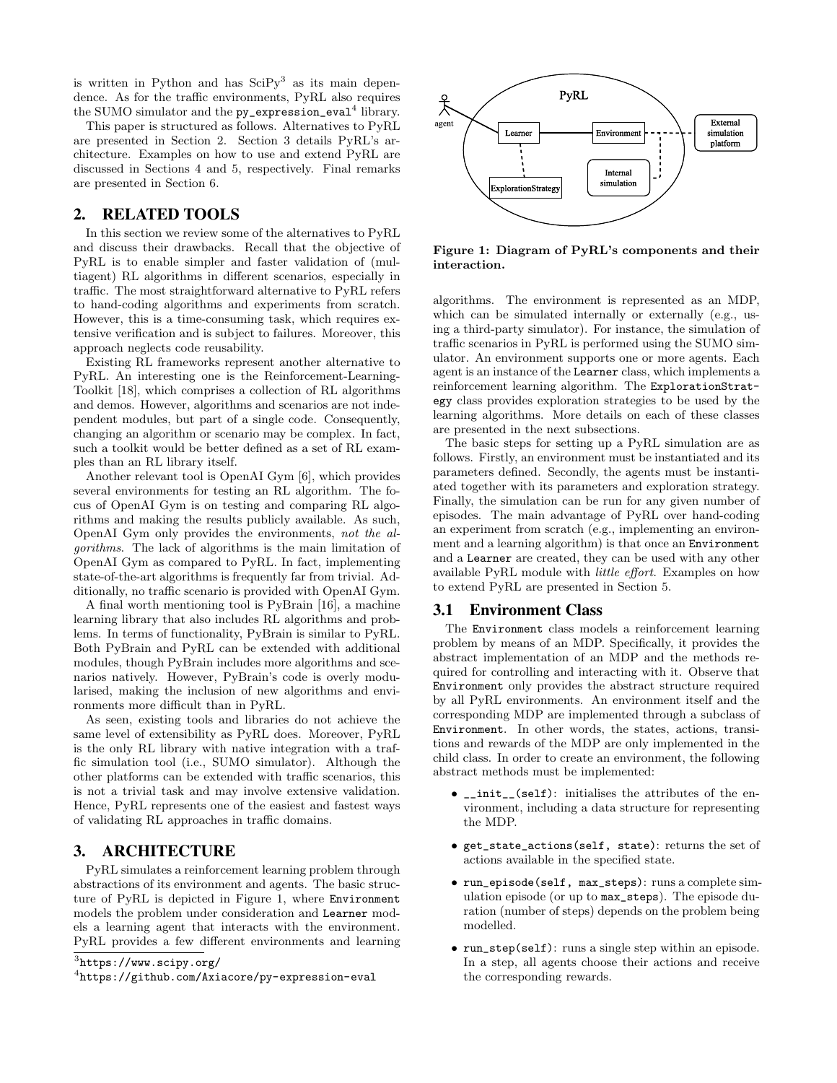is written in Python and has  $\text{SciPy}^3$  as its main dependence. As for the traffic environments, PyRL also requires the SUMO simulator and the  $py$ \_expression\_eval $^4$  library.

This paper is structured as follows. Alternatives to PyRL are presented in Section 2. Section 3 details PyRL's architecture. Examples on how to use and extend PyRL are discussed in Sections 4 and 5, respectively. Final remarks are presented in Section 6.

# 2. RELATED TOOLS

In this section we review some of the alternatives to PyRL and discuss their drawbacks. Recall that the objective of PyRL is to enable simpler and faster validation of (multiagent) RL algorithms in different scenarios, especially in traffic. The most straightforward alternative to PyRL refers to hand-coding algorithms and experiments from scratch. However, this is a time-consuming task, which requires extensive verification and is subject to failures. Moreover, this approach neglects code reusability.

Existing RL frameworks represent another alternative to PyRL. An interesting one is the Reinforcement-Learning-Toolkit [18], which comprises a collection of RL algorithms and demos. However, algorithms and scenarios are not independent modules, but part of a single code. Consequently, changing an algorithm or scenario may be complex. In fact, such a toolkit would be better defined as a set of RL examples than an RL library itself.

Another relevant tool is OpenAI Gym [6], which provides several environments for testing an RL algorithm. The focus of OpenAI Gym is on testing and comparing RL algorithms and making the results publicly available. As such, OpenAI Gym only provides the environments, not the algorithms. The lack of algorithms is the main limitation of OpenAI Gym as compared to PyRL. In fact, implementing state-of-the-art algorithms is frequently far from trivial. Additionally, no traffic scenario is provided with OpenAI Gym.

A final worth mentioning tool is PyBrain [16], a machine learning library that also includes RL algorithms and problems. In terms of functionality, PyBrain is similar to PyRL. Both PyBrain and PyRL can be extended with additional modules, though PyBrain includes more algorithms and scenarios natively. However, PyBrain's code is overly modularised, making the inclusion of new algorithms and environments more difficult than in PyRL.

As seen, existing tools and libraries do not achieve the same level of extensibility as PyRL does. Moreover, PyRL is the only RL library with native integration with a traffic simulation tool (i.e., SUMO simulator). Although the other platforms can be extended with traffic scenarios, this is not a trivial task and may involve extensive validation. Hence, PyRL represents one of the easiest and fastest ways of validating RL approaches in traffic domains.

## 3. ARCHITECTURE

PyRL simulates a reinforcement learning problem through abstractions of its environment and agents. The basic structure of PyRL is depicted in Figure 1, where Environment models the problem under consideration and Learner models a learning agent that interacts with the environment. PyRL provides a few different environments and learning



Figure 1: Diagram of PyRL's components and their interaction.

algorithms. The environment is represented as an MDP, which can be simulated internally or externally (e.g., using a third-party simulator). For instance, the simulation of traffic scenarios in PyRL is performed using the SUMO simulator. An environment supports one or more agents. Each agent is an instance of the Learner class, which implements a reinforcement learning algorithm. The ExplorationStrategy class provides exploration strategies to be used by the learning algorithms. More details on each of these classes are presented in the next subsections.

The basic steps for setting up a PyRL simulation are as follows. Firstly, an environment must be instantiated and its parameters defined. Secondly, the agents must be instantiated together with its parameters and exploration strategy. Finally, the simulation can be run for any given number of episodes. The main advantage of PyRL over hand-coding an experiment from scratch (e.g., implementing an environment and a learning algorithm) is that once an Environment and a Learner are created, they can be used with any other available PyRL module with little effort. Examples on how to extend PyRL are presented in Section 5.

## 3.1 Environment Class

The Environment class models a reinforcement learning problem by means of an MDP. Specifically, it provides the abstract implementation of an MDP and the methods required for controlling and interacting with it. Observe that Environment only provides the abstract structure required by all PyRL environments. An environment itself and the corresponding MDP are implemented through a subclass of Environment. In other words, the states, actions, transitions and rewards of the MDP are only implemented in the child class. In order to create an environment, the following abstract methods must be implemented:

- $\text{\_init\_\_}$ (self): initialises the attributes of the environment, including a data structure for representing the MDP.
- get\_state\_actions(self, state): returns the set of actions available in the specified state.
- run\_episode(self, max\_steps): runs a complete simulation episode (or up to max\_steps). The episode duration (number of steps) depends on the problem being modelled.
- run\_step(self): runs a single step within an episode. In a step, all agents choose their actions and receive the corresponding rewards.

<sup>3</sup> https://www.scipy.org/

<sup>4</sup> https://github.com/Axiacore/py-expression-eval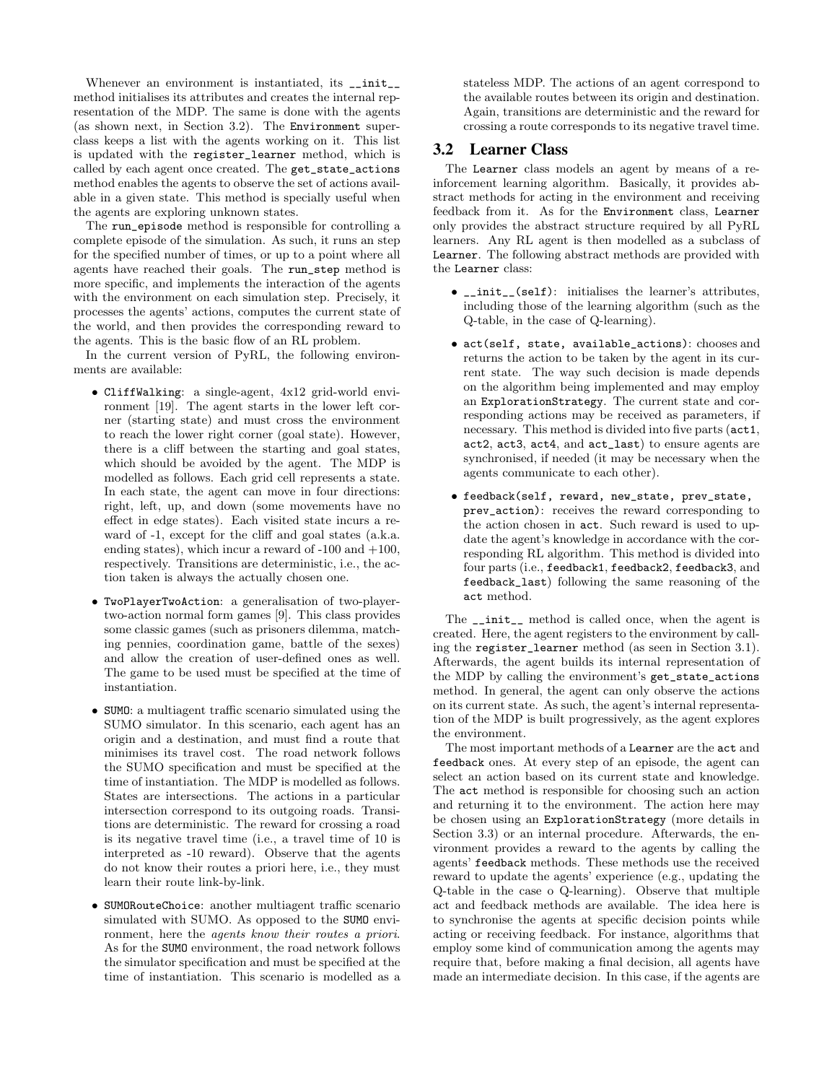Whenever an environment is instantiated, its  $\text{__init}\text{__}$ method initialises its attributes and creates the internal representation of the MDP. The same is done with the agents (as shown next, in Section 3.2). The Environment superclass keeps a list with the agents working on it. This list is updated with the register\_learner method, which is called by each agent once created. The get\_state\_actions method enables the agents to observe the set of actions available in a given state. This method is specially useful when the agents are exploring unknown states.

The run\_episode method is responsible for controlling a complete episode of the simulation. As such, it runs an step for the specified number of times, or up to a point where all agents have reached their goals. The run\_step method is more specific, and implements the interaction of the agents with the environment on each simulation step. Precisely, it processes the agents' actions, computes the current state of the world, and then provides the corresponding reward to the agents. This is the basic flow of an RL problem.

In the current version of PyRL, the following environments are available:

- CliffWalking: a single-agent, 4x12 grid-world environment [19]. The agent starts in the lower left corner (starting state) and must cross the environment to reach the lower right corner (goal state). However, there is a cliff between the starting and goal states, which should be avoided by the agent. The MDP is modelled as follows. Each grid cell represents a state. In each state, the agent can move in four directions: right, left, up, and down (some movements have no effect in edge states). Each visited state incurs a reward of -1, except for the cliff and goal states (a.k.a. ending states), which incur a reward of  $-100$  and  $+100$ , respectively. Transitions are deterministic, i.e., the action taken is always the actually chosen one.
- TwoPlayerTwoAction: a generalisation of two-playertwo-action normal form games [9]. This class provides some classic games (such as prisoners dilemma, matching pennies, coordination game, battle of the sexes) and allow the creation of user-defined ones as well. The game to be used must be specified at the time of instantiation.
- SUMO: a multiagent traffic scenario simulated using the SUMO simulator. In this scenario, each agent has an origin and a destination, and must find a route that minimises its travel cost. The road network follows the SUMO specification and must be specified at the time of instantiation. The MDP is modelled as follows. States are intersections. The actions in a particular intersection correspond to its outgoing roads. Transitions are deterministic. The reward for crossing a road is its negative travel time (i.e., a travel time of 10 is interpreted as -10 reward). Observe that the agents do not know their routes a priori here, i.e., they must learn their route link-by-link.
- SUMORouteChoice: another multiagent traffic scenario simulated with SUMO. As opposed to the SUMO environment, here the agents know their routes a priori. As for the SUMO environment, the road network follows the simulator specification and must be specified at the time of instantiation. This scenario is modelled as a

stateless MDP. The actions of an agent correspond to the available routes between its origin and destination. Again, transitions are deterministic and the reward for crossing a route corresponds to its negative travel time.

## 3.2 Learner Class

The Learner class models an agent by means of a reinforcement learning algorithm. Basically, it provides abstract methods for acting in the environment and receiving feedback from it. As for the Environment class, Learner only provides the abstract structure required by all PyRL learners. Any RL agent is then modelled as a subclass of Learner. The following abstract methods are provided with the Learner class:

- \_\_init\_\_(self): initialises the learner's attributes, including those of the learning algorithm (such as the Q-table, in the case of Q-learning).
- act(self, state, available\_actions): chooses and returns the action to be taken by the agent in its current state. The way such decision is made depends on the algorithm being implemented and may employ an ExplorationStrategy. The current state and corresponding actions may be received as parameters, if necessary. This method is divided into five parts (act1, act2, act3, act4, and act\_last) to ensure agents are synchronised, if needed (it may be necessary when the agents communicate to each other).
- feedback(self, reward, new\_state, prev\_state, prev\_action): receives the reward corresponding to the action chosen in act. Such reward is used to update the agent's knowledge in accordance with the corresponding RL algorithm. This method is divided into four parts (i.e., feedback1, feedback2, feedback3, and feedback\_last) following the same reasoning of the act method.

The \_\_init\_\_ method is called once, when the agent is created. Here, the agent registers to the environment by calling the register\_learner method (as seen in Section 3.1). Afterwards, the agent builds its internal representation of the MDP by calling the environment's get\_state\_actions method. In general, the agent can only observe the actions on its current state. As such, the agent's internal representation of the MDP is built progressively, as the agent explores the environment.

The most important methods of a Learner are the act and feedback ones. At every step of an episode, the agent can select an action based on its current state and knowledge. The act method is responsible for choosing such an action and returning it to the environment. The action here may be chosen using an ExplorationStrategy (more details in Section 3.3) or an internal procedure. Afterwards, the environment provides a reward to the agents by calling the agents' feedback methods. These methods use the received reward to update the agents' experience (e.g., updating the Q-table in the case o Q-learning). Observe that multiple act and feedback methods are available. The idea here is to synchronise the agents at specific decision points while acting or receiving feedback. For instance, algorithms that employ some kind of communication among the agents may require that, before making a final decision, all agents have made an intermediate decision. In this case, if the agents are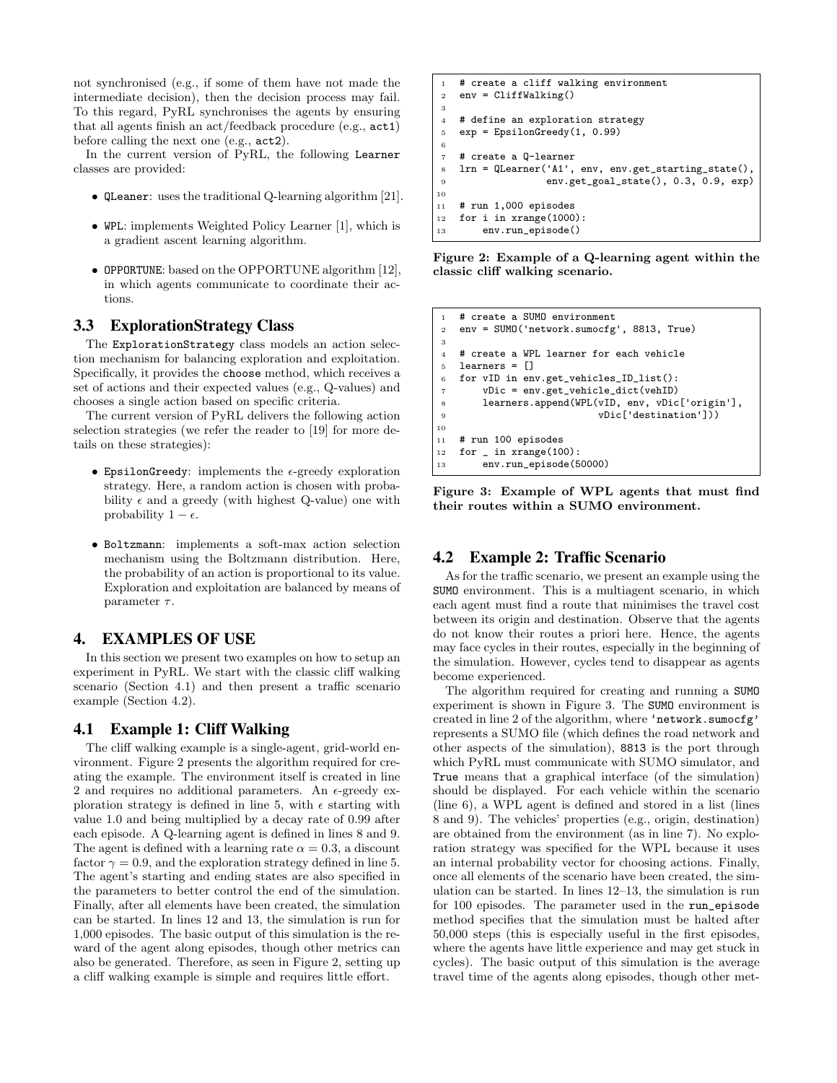not synchronised (e.g., if some of them have not made the intermediate decision), then the decision process may fail. To this regard, PyRL synchronises the agents by ensuring that all agents finish an act/feedback procedure (e.g., act1) before calling the next one (e.g., act2).

In the current version of PyRL, the following Learner classes are provided:

- QLeaner: uses the traditional Q-learning algorithm [21].
- WPL: implements Weighted Policy Learner [1], which is a gradient ascent learning algorithm.
- OPPORTUNE: based on the OPPORTUNE algorithm [12], in which agents communicate to coordinate their actions.

#### 3.3 ExplorationStrategy Class

The ExplorationStrategy class models an action selection mechanism for balancing exploration and exploitation. Specifically, it provides the choose method, which receives a set of actions and their expected values (e.g., Q-values) and chooses a single action based on specific criteria.

The current version of PyRL delivers the following action selection strategies (we refer the reader to [19] for more details on these strategies):

- EpsilonGreedy: implements the  $\epsilon$ -greedy exploration strategy. Here, a random action is chosen with probability  $\epsilon$  and a greedy (with highest Q-value) one with probability  $1 - \epsilon$ .
- Boltzmann: implements a soft-max action selection mechanism using the Boltzmann distribution. Here, the probability of an action is proportional to its value. Exploration and exploitation are balanced by means of parameter  $\tau$ .

## 4. EXAMPLES OF USE

In this section we present two examples on how to setup an experiment in PyRL. We start with the classic cliff walking scenario (Section 4.1) and then present a traffic scenario example (Section 4.2).

#### 4.1 Example 1: Cliff Walking

The cliff walking example is a single-agent, grid-world environment. Figure 2 presents the algorithm required for creating the example. The environment itself is created in line 2 and requires no additional parameters. An  $\epsilon$ -greedy exploration strategy is defined in line 5, with  $\epsilon$  starting with value 1.0 and being multiplied by a decay rate of 0.99 after each episode. A Q-learning agent is defined in lines 8 and 9. The agent is defined with a learning rate  $\alpha = 0.3$ , a discount factor  $\gamma = 0.9$ , and the exploration strategy defined in line 5. The agent's starting and ending states are also specified in the parameters to better control the end of the simulation. Finally, after all elements have been created, the simulation can be started. In lines 12 and 13, the simulation is run for 1,000 episodes. The basic output of this simulation is the reward of the agent along episodes, though other metrics can also be generated. Therefore, as seen in Figure 2, setting up a cliff walking example is simple and requires little effort.

```
# create a cliff walking environment
2 env = CliffWalking()
3
4 # define an exploration strategy
5 exp = EpsilonGreedy(1, 0.99)
6
7 # create a Q-learner
8 lrn = QLearner('A1', env, env.get_starting_state(),
9 env.get_goal_state(), 0.3, 0.9, exp)
10
11 # run 1,000 episodes
12 for i in xrange(1000):
13 env.run_episode()
```
Figure 2: Example of a Q-learning agent within the classic cliff walking scenario.

 # create a SUMO environment env = SUMO('network.sumocfg', 8813, True) 3 # create a WPL learner for each vehicle learners =  $[1]$  for vID in env.get\_vehicles\_ID\_list(): vDic = env.get\_vehicle\_dict(vehID) 8 learners.append(WPL(vID, env, vDic['origin'],<br>9 vDic['destination'])) vDic['destination'])) 10 # run 100 episodes for  $\sin x$  xrange(100): env.run\_episode(50000)

Figure 3: Example of WPL agents that must find their routes within a SUMO environment.

## 4.2 Example 2: Traffic Scenario

As for the traffic scenario, we present an example using the SUMO environment. This is a multiagent scenario, in which each agent must find a route that minimises the travel cost between its origin and destination. Observe that the agents do not know their routes a priori here. Hence, the agents may face cycles in their routes, especially in the beginning of the simulation. However, cycles tend to disappear as agents become experienced.

The algorithm required for creating and running a SUMO experiment is shown in Figure 3. The SUMO environment is created in line 2 of the algorithm, where 'network.sumocfg' represents a SUMO file (which defines the road network and other aspects of the simulation), 8813 is the port through which PyRL must communicate with SUMO simulator, and True means that a graphical interface (of the simulation) should be displayed. For each vehicle within the scenario (line 6), a WPL agent is defined and stored in a list (lines 8 and 9). The vehicles' properties (e.g., origin, destination) are obtained from the environment (as in line 7). No exploration strategy was specified for the WPL because it uses an internal probability vector for choosing actions. Finally, once all elements of the scenario have been created, the simulation can be started. In lines 12–13, the simulation is run for 100 episodes. The parameter used in the run\_episode method specifies that the simulation must be halted after 50,000 steps (this is especially useful in the first episodes, where the agents have little experience and may get stuck in cycles). The basic output of this simulation is the average travel time of the agents along episodes, though other met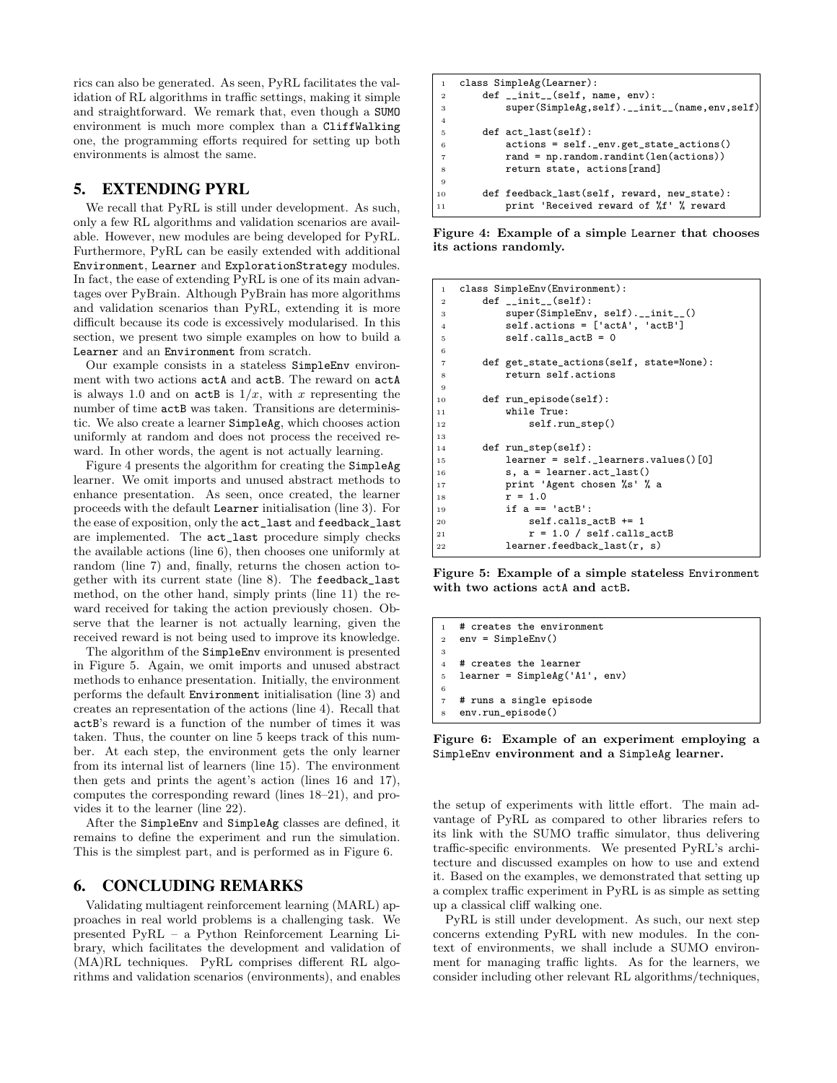rics can also be generated. As seen, PyRL facilitates the validation of RL algorithms in traffic settings, making it simple and straightforward. We remark that, even though a SUMO environment is much more complex than a CliffWalking one, the programming efforts required for setting up both environments is almost the same.

## 5. EXTENDING PYRL

We recall that PyRL is still under development. As such, only a few RL algorithms and validation scenarios are available. However, new modules are being developed for PyRL. Furthermore, PyRL can be easily extended with additional Environment, Learner and ExplorationStrategy modules. In fact, the ease of extending PyRL is one of its main advantages over PyBrain. Although PyBrain has more algorithms and validation scenarios than PyRL, extending it is more difficult because its code is excessively modularised. In this section, we present two simple examples on how to build a Learner and an Environment from scratch.

Our example consists in a stateless SimpleEnv environment with two actions actA and actB. The reward on actA is always 1.0 and on  $actB$  is  $1/x$ , with x representing the number of time actB was taken. Transitions are deterministic. We also create a learner SimpleAg, which chooses action uniformly at random and does not process the received reward. In other words, the agent is not actually learning.

Figure 4 presents the algorithm for creating the SimpleAg learner. We omit imports and unused abstract methods to enhance presentation. As seen, once created, the learner proceeds with the default Learner initialisation (line 3). For the ease of exposition, only the act\_last and feedback\_last are implemented. The act\_last procedure simply checks the available actions (line 6), then chooses one uniformly at random (line 7) and, finally, returns the chosen action together with its current state (line 8). The feedback\_last method, on the other hand, simply prints (line 11) the reward received for taking the action previously chosen. Observe that the learner is not actually learning, given the received reward is not being used to improve its knowledge.

The algorithm of the SimpleEnv environment is presented in Figure 5. Again, we omit imports and unused abstract methods to enhance presentation. Initially, the environment performs the default Environment initialisation (line 3) and creates an representation of the actions (line 4). Recall that actB's reward is a function of the number of times it was taken. Thus, the counter on line 5 keeps track of this number. At each step, the environment gets the only learner from its internal list of learners (line 15). The environment then gets and prints the agent's action (lines 16 and 17), computes the corresponding reward (lines 18–21), and provides it to the learner (line 22).

After the SimpleEnv and SimpleAg classes are defined, it remains to define the experiment and run the simulation. This is the simplest part, and is performed as in Figure 6.

## 6. CONCLUDING REMARKS

Validating multiagent reinforcement learning (MARL) approaches in real world problems is a challenging task. We presented PyRL – a Python Reinforcement Learning Library, which facilitates the development and validation of (MA)RL techniques. PyRL comprises different RL algorithms and validation scenarios (environments), and enables

```
1 class SimpleAg(Learner):
2 def __init__(self, name, env):
3 super(SimpleAg,self).__init__(name,env,self)
4
5 def act_last(self):
6 actions = self._env.get_state_actions()
7 rand = np.random.randint(len(actions))
8 return state, actions[rand]
9
10 def feedback_last(self, reward, new_state):
11 print 'Received reward of %f' % reward
```
Figure 4: Example of a simple Learner that chooses its actions randomly.

```
1 class SimpleEnv(Environment):
2 def _{-}init_{-}(self):
3 super(SimpleEnv, self).__init__()<br>4 self.actions = ['actA', 'actB']
          self. actions = ['actA', 'actB']5 self.calls_actB = 0
6
7 def get_state_actions(self, state=None):
8 return self.actions
9
10 def run_episode(self):<br>11 while True:
          while True:
12 self.run_step()
13
14 def run_step(self):
15 learner = self._learners.values()[0]
16 s, a = learner.act_last()
17 print 'Agent chosen %s' % a
18 r = 1.019 if a == 'actB':
20 self.calls_actB += 1
r = 1.0 / self.class\_actB22 learner.feedback_last(r, s)
```
Figure 5: Example of a simple stateless Environment with two actions actA and actB.

```
1 # creates the environment
2 env = SimpleEnv()
3
4 # creates the learner
5 learner = SimpleAg('A1', env)
6
7 # runs a single episode
   env.run_episode()
```
Figure 6: Example of an experiment employing a SimpleEnv environment and a SimpleAg learner.

the setup of experiments with little effort. The main advantage of PyRL as compared to other libraries refers to its link with the SUMO traffic simulator, thus delivering traffic-specific environments. We presented PyRL's architecture and discussed examples on how to use and extend it. Based on the examples, we demonstrated that setting up a complex traffic experiment in PyRL is as simple as setting up a classical cliff walking one.

PyRL is still under development. As such, our next step concerns extending PyRL with new modules. In the context of environments, we shall include a SUMO environment for managing traffic lights. As for the learners, we consider including other relevant RL algorithms/techniques,